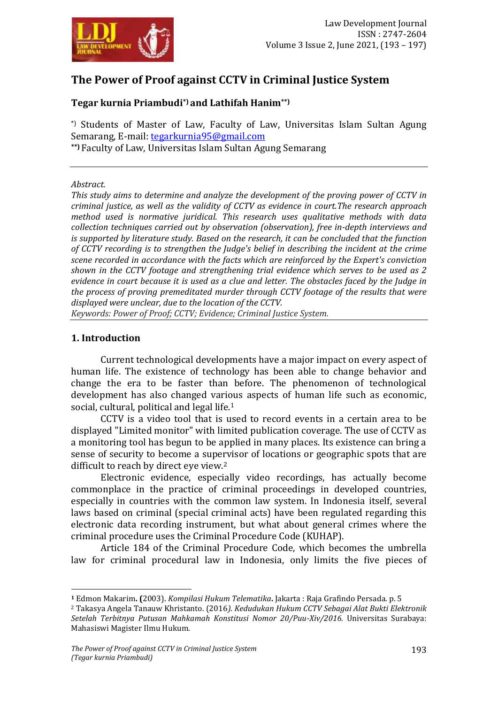

# **The Power of Proof against CCTV in Criminal Justice System**

# **Tegar kurnia Priambudi\*) and Lathifah Hanim\*\*)**

\*) Students of Master of Law, Faculty of Law, Universitas Islam Sultan Agung Semarang, E-mail: [tegarkurnia95@gmail.com](mailto:tegarkurnia95@gmail.com) **\*\*)** Faculty of Law, Universitas Islam Sultan Agung Semarang

#### *Abstract.*

*This study aims to determine and analyze the development of the proving power of CCTV in criminal justice, as well as the validity of CCTV as evidence in court.The research approach method used is normative juridical. This research uses qualitative methods with data collection techniques carried out by observation (observation), free in-depth interviews and is supported by literature study. Based on the research, it can be concluded that the function of CCTV recording is to strengthen the Judge's belief in describing the incident at the crime scene recorded in accordance with the facts which are reinforced by the Expert's conviction shown in the CCTV footage and strengthening trial evidence which serves to be used as 2 evidence in court because it is used as a clue and letter. The obstacles faced by the Judge in the process of proving premeditated murder through CCTV footage of the results that were displayed were unclear, due to the location of the CCTV.*

*Keywords: Power of Proof; CCTV; Evidence; Criminal Justice System.*

### **1. Introduction**

1

Current technological developments have a major impact on every aspect of human life. The existence of technology has been able to change behavior and change the era to be faster than before. The phenomenon of technological development has also changed various aspects of human life such as economic, social, cultural, political and legal life.<sup>1</sup>

CCTV is a video tool that is used to record events in a certain area to be displayed "Limited monitor" with limited publication coverage. The use of CCTV as a monitoring tool has begun to be applied in many places. Its existence can bring a sense of security to become a supervisor of locations or geographic spots that are difficult to reach by direct eye view.<sup>2</sup>

Electronic evidence, especially video recordings, has actually become commonplace in the practice of criminal proceedings in developed countries, especially in countries with the common law system. In Indonesia itself, several laws based on criminal (special criminal acts) have been regulated regarding this electronic data recording instrument, but what about general crimes where the criminal procedure uses the Criminal Procedure Code (KUHAP).

Article 184 of the Criminal Procedure Code, which becomes the umbrella law for criminal procedural law in Indonesia, only limits the five pieces of

**<sup>1</sup>** Edmon Makarim**. (**2003). *Kompilasi Hukum Telematika***.** Jakarta : Raja Grafindo Persada. p. 5

<sup>2</sup> Takasya Angela Tanauw Khristanto. (2016*). Kedudukan Hukum CCTV Sebagai Alat Bukti Elektronik Setelah Terbitnya Putusan Mahkamah Konstitusi Nomor 20/Puu-Xiv/2016.* Universitas Surabaya: Mahasiswi Magister Ilmu Hukum.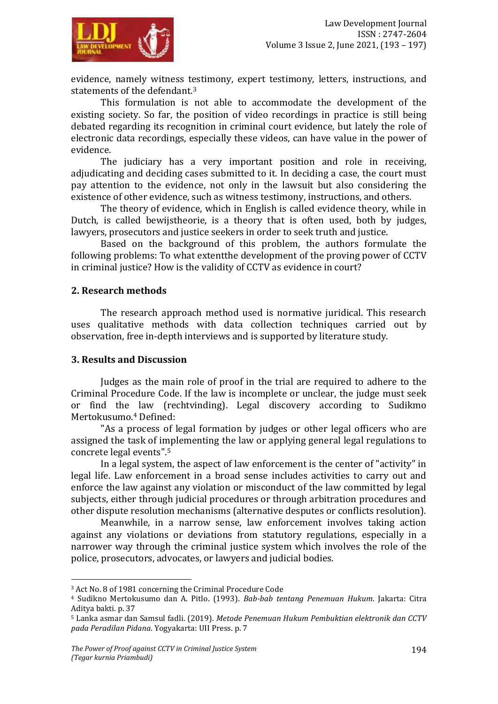

evidence, namely witness testimony, expert testimony, letters, instructions, and statements of the defendant.<sup>3</sup>

This formulation is not able to accommodate the development of the existing society. So far, the position of video recordings in practice is still being debated regarding its recognition in criminal court evidence, but lately the role of electronic data recordings, especially these videos, can have value in the power of evidence.

The judiciary has a very important position and role in receiving, adjudicating and deciding cases submitted to it. In deciding a case, the court must pay attention to the evidence, not only in the lawsuit but also considering the existence of other evidence, such as witness testimony, instructions, and others.

The theory of evidence, which in English is called evidence theory, while in Dutch, is called bewijstheorie, is a theory that is often used, both by judges, lawyers, prosecutors and justice seekers in order to seek truth and justice.

Based on the background of this problem, the authors formulate the following problems: To what extentthe development of the proving power of CCTV in criminal justice? How is the validity of CCTV as evidence in court?

### **2. Research methods**

The research approach method used is normative juridical. This research uses qualitative methods with data collection techniques carried out by observation, free in-depth interviews and is supported by literature study.

#### **3. Results and Discussion**

1

Judges as the main role of proof in the trial are required to adhere to the Criminal Procedure Code. If the law is incomplete or unclear, the judge must seek or find the law (rechtvinding). Legal discovery according to Sudikmo Mertokusumo.<sup>4</sup> Defined:

"As a process of legal formation by judges or other legal officers who are assigned the task of implementing the law or applying general legal regulations to concrete legal events".<sup>5</sup>

In a legal system, the aspect of law enforcement is the center of "activity" in legal life. Law enforcement in a broad sense includes activities to carry out and enforce the law against any violation or misconduct of the law committed by legal subjects, either through judicial procedures or through arbitration procedures and other dispute resolution mechanisms (alternative desputes or conflicts resolution).

Meanwhile, in a narrow sense, law enforcement involves taking action against any violations or deviations from statutory regulations, especially in a narrower way through the criminal justice system which involves the role of the police, prosecutors, advocates, or lawyers and judicial bodies.

<sup>3</sup> Act No. 8 of 1981 concerning the Criminal Procedure Code

<sup>4</sup> Sudikno Mertokusumo dan A. Pitlo. (1993). *Bab-bab tentang Penemuan Hukum*. Jakarta: Citra Aditya bakti. p. 37

<sup>5</sup> Lanka asmar dan Samsul fadli. (2019). *Metode Penemuan Hukum Pembuktian elektronik dan CCTV pada Peradilan Pidana*. Yogyakarta: UII Press. p. 7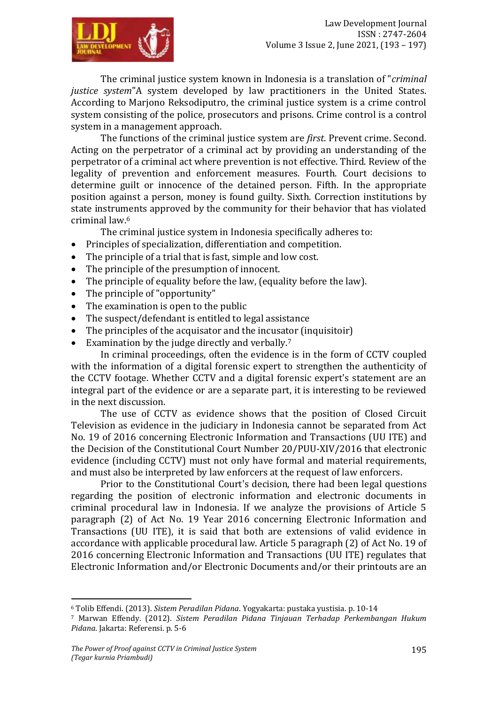

The criminal justice system known in Indonesia is a translation of "*criminal justice system*"A system developed by law practitioners in the United States. According to Marjono Reksodiputro, the criminal justice system is a crime control system consisting of the police, prosecutors and prisons. Crime control is a control system in a management approach.

The functions of the criminal justice system are *first*. Prevent crime. Second. Acting on the perpetrator of a criminal act by providing an understanding of the perpetrator of a criminal act where prevention is not effective. Third. Review of the legality of prevention and enforcement measures. Fourth. Court decisions to determine guilt or innocence of the detained person. Fifth. In the appropriate position against a person, money is found guilty. Sixth. Correction institutions by state instruments approved by the community for their behavior that has violated criminal law.<sup>6</sup>

The criminal justice system in Indonesia specifically adheres to:

- Principles of specialization, differentiation and competition.
- The principle of a trial that is fast, simple and low cost.
- The principle of the presumption of innocent.
- The principle of equality before the law, (equality before the law).
- The principle of "opportunity"
- The examination is open to the public
- The suspect/defendant is entitled to legal assistance
- The principles of the acquisator and the incusator (inquisitoir)
- Examination by the judge directly and verbally.<sup>7</sup>

In criminal proceedings, often the evidence is in the form of CCTV coupled with the information of a digital forensic expert to strengthen the authenticity of the CCTV footage. Whether CCTV and a digital forensic expert's statement are an integral part of the evidence or are a separate part, it is interesting to be reviewed in the next discussion.

The use of CCTV as evidence shows that the position of Closed Circuit Television as evidence in the judiciary in Indonesia cannot be separated from Act No. 19 of 2016 concerning Electronic Information and Transactions (UU ITE) and the Decision of the Constitutional Court Number 20/PUU-XIV/2016 that electronic evidence (including CCTV) must not only have formal and material requirements, and must also be interpreted by law enforcers at the request of law enforcers.

Prior to the Constitutional Court's decision, there had been legal questions regarding the position of electronic information and electronic documents in criminal procedural law in Indonesia. If we analyze the provisions of Article 5 paragraph (2) of Act No. 19 Year 2016 concerning Electronic Information and Transactions (UU ITE), it is said that both are extensions of valid evidence in accordance with applicable procedural law. Article 5 paragraph (2) of Act No. 19 of 2016 concerning Electronic Information and Transactions (UU ITE) regulates that Electronic Information and/or Electronic Documents and/or their printouts are an

**.** 

<sup>6</sup> Tolib Effendi. (2013). *Sistem Peradilan Pidana*. Yogyakarta: pustaka yustisia. p. 10-14

<sup>7</sup> Marwan Effendy. (2012). *Sistem Peradilan Pidana Tinjauan Terhadap Perkembangan Hukum Pidana*. Jakarta: Referensi. p. 5-6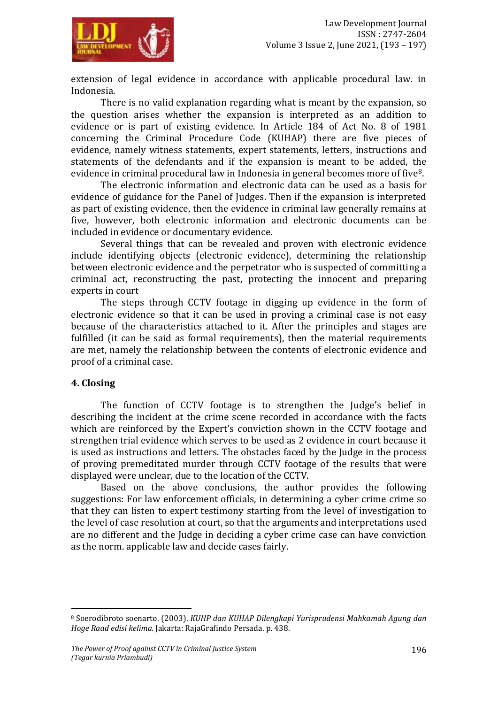

extension of legal evidence in accordance with applicable procedural law. in Indonesia.

There is no valid explanation regarding what is meant by the expansion, so the question arises whether the expansion is interpreted as an addition to evidence or is part of existing evidence. In Article 184 of Act No. 8 of 1981 concerning the Criminal Procedure Code (KUHAP) there are five pieces of evidence, namely witness statements, expert statements, letters, instructions and statements of the defendants and if the expansion is meant to be added, the evidence in criminal procedural law in Indonesia in general becomes more of five8.

The electronic information and electronic data can be used as a basis for evidence of guidance for the Panel of Judges. Then if the expansion is interpreted as part of existing evidence, then the evidence in criminal law generally remains at five, however, both electronic information and electronic documents can be included in evidence or documentary evidence.

Several things that can be revealed and proven with electronic evidence include identifying objects (electronic evidence), determining the relationship between electronic evidence and the perpetrator who is suspected of committing a criminal act, reconstructing the past, protecting the innocent and preparing experts in court

The steps through CCTV footage in digging up evidence in the form of electronic evidence so that it can be used in proving a criminal case is not easy because of the characteristics attached to it. After the principles and stages are fulfilled (it can be said as formal requirements), then the material requirements are met, namely the relationship between the contents of electronic evidence and proof of a criminal case.

### **4. Closing**

**.** 

The function of CCTV footage is to strengthen the Judge's belief in describing the incident at the crime scene recorded in accordance with the facts which are reinforced by the Expert's conviction shown in the CCTV footage and strengthen trial evidence which serves to be used as 2 evidence in court because it is used as instructions and letters. The obstacles faced by the Judge in the process of proving premeditated murder through CCTV footage of the results that were displayed were unclear, due to the location of the CCTV.

Based on the above conclusions, the author provides the following suggestions: For law enforcement officials, in determining a cyber crime crime so that they can listen to expert testimony starting from the level of investigation to the level of case resolution at court, so that the arguments and interpretations used are no different and the Judge in deciding a cyber crime case can have conviction as the norm. applicable law and decide cases fairly.

<sup>8</sup> Soerodibroto soenarto. (2003). *KUHP dan KUHAP Dilengkapi Yurisprudensi Mahkamah Agung dan Hoge Raad edisi kelima.* Jakarta: RajaGrafindo Persada. p. 438.